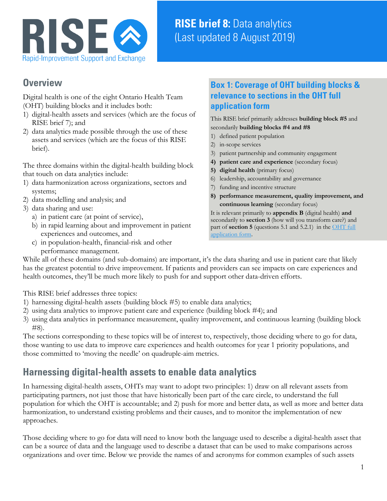

# **RISE brief 8:** Data analytics (Last updated 8 August 2019)

### **Overview**

Digital health is one of the eight Ontario Health Team (OHT) building blocks and it includes both:

- 1) digital-health assets and services (which are the focus of RISE brief 7); and
- 2) data analytics made possible through the use of these assets and services (which are the focus of this RISE brief).

The three domains within the digital-health building block that touch on data analytics include:

- 1) data harmonization across organizations, sectors and systems;
- 2) data modelling and analysis; and
- 3) data sharing and use:
	- a) in patient care (at point of service),
	- b) in rapid learning about and improvement in patient experiences and outcomes, and
	- c) in population-health, financial-risk and other performance management.

### **Box 1: Coverage of OHT building blocks & relevance to sections in the OHT full application form**

This RISE brief primarily addresses **building block #5** and secondarily **building blocks #4 and #8**

- 1) defined patient population
- 2) in-scope services
- 3) patient partnership and community engagement
- **4) patient care and experience** (secondary focus)
- **5) digital health** (primary focus)
- 6) leadership, accountability and governance
- 7) funding and incentive structure
- **8) performance measurement, quality improvement, and continuous learning** (secondary focus)

It is relevant primarily to **appendix B** (digital health) **and** secondarily to **section 3** (how will you transform care?) and part of **section 5** (questions 5.1 and 5.2.1) in th[e OHT full](http://health.gov.on.ca/en/pro/programs/connectedcare/oht/docs/OHT_Full_Application_EN.pdf)  [application form.](http://health.gov.on.ca/en/pro/programs/connectedcare/oht/docs/OHT_Full_Application_EN.pdf)

While all of these domains (and sub-domains) are important, it's the data sharing and use in patient care that likely has the greatest potential to drive improvement. If patients and providers can see impacts on care experiences and health outcomes, they'll be much more likely to push for and support other data-driven efforts.

This RISE brief addresses three topics:

- 1) harnessing digital-health assets (building block #5) to enable data analytics;
- 2) using data analytics to improve patient care and experience (building block #4); and
- 3) using data analytics in performance measurement, quality improvement, and continuous learning (building block #8).

The sections corresponding to these topics will be of interest to, respectively, those deciding where to go for data, those wanting to use data to improve care experiences and health outcomes for year 1 priority populations, and those committed to 'moving the needle' on quadruple-aim metrics.

# **Harnessing digital-health assets to enable data analytics**

In harnessing digital-health assets, OHTs may want to adopt two principles: 1) draw on all relevant assets from participating partners, not just those that have historically been part of the care circle, to understand the full population for which the OHT is accountable; and 2) push for more and better data, as well as more and better data harmonization, to understand existing problems and their causes, and to monitor the implementation of new approaches.

Those deciding where to go for data will need to know both the language used to describe a digital-health asset that can be a source of data and the language used to describe a dataset that can be used to make comparisons across organizations and over time. Below we provide the names of and acronyms for common examples of such assets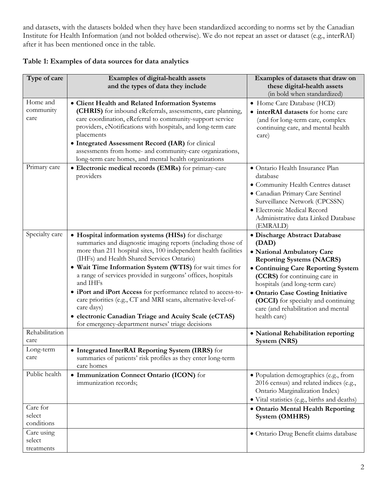and datasets, with the datasets bolded when they have been standardized according to norms set by the Canadian Institute for Health Information (and not bolded otherwise). We do not repeat an asset or dataset (e.g., interRAI) after it has been mentioned once in the table.

| Type of care                       | Examples of digital-health assets<br>and the types of data they include                                                                                                                                                                                                                                                                                                                                                                                                                                                                                                                                                                      | Examples of datasets that draw on<br>these digital-health assets                                                                                                                                                                                                                                                                                     |
|------------------------------------|----------------------------------------------------------------------------------------------------------------------------------------------------------------------------------------------------------------------------------------------------------------------------------------------------------------------------------------------------------------------------------------------------------------------------------------------------------------------------------------------------------------------------------------------------------------------------------------------------------------------------------------------|------------------------------------------------------------------------------------------------------------------------------------------------------------------------------------------------------------------------------------------------------------------------------------------------------------------------------------------------------|
|                                    |                                                                                                                                                                                                                                                                                                                                                                                                                                                                                                                                                                                                                                              | (in bold when standardized)                                                                                                                                                                                                                                                                                                                          |
| Home and<br>community<br>care      | • Client Health and Related Information Systems<br>(CHRIS) for inbound eReferrals, assessments, care planning,<br>care coordination, eReferral to community-support service<br>providers, eNotifications with hospitals, and long-term care<br>placements<br>• Integrated Assessment Record (IAR) for clinical<br>assessments from home- and community-care organizations,<br>long-term care homes, and mental health organizations                                                                                                                                                                                                          | • Home Care Database (HCD)<br>• interRAI datasets for home care<br>(and for long-term care, complex<br>continuing care, and mental health<br>care)                                                                                                                                                                                                   |
| Primary care                       | • Electronic medical records (EMRs) for primary-care<br>providers                                                                                                                                                                                                                                                                                                                                                                                                                                                                                                                                                                            | · Ontario Health Insurance Plan<br>database<br>• Community Health Centres dataset<br>· Canadian Primary Care Sentinel<br>Surveillance Network (CPCSSN)<br>· Electronic Medical Record<br>Administrative data Linked Database<br>(EMRALD)                                                                                                             |
| Specialty care                     | • Hospital information systems (HISs) for discharge<br>summaries and diagnostic imaging reports (including those of<br>more than 211 hospital sites, 100 independent health facilities<br>(IHFs) and Health Shared Services Ontario)<br>. Wait Time Information System (WTIS) for wait times for<br>a range of services provided in surgeons' offices, hospitals<br>and IHFs<br>• iPort and iPort Access for performance related to access-to-<br>care priorities (e.g., CT and MRI scans, alternative-level-of-<br>care days)<br>• electronic Canadian Triage and Acuity Scale (eCTAS)<br>for emergency-department nurses' triage decisions | · Discharge Abstract Database<br>(DAD)<br>· National Ambulatory Care<br><b>Reporting Systems (NACRS)</b><br>• Continuing Care Reporting System<br>(CCRS) for continuing care in<br>hospitals (and long-term care)<br>· Ontario Case Costing Initiative<br>(OCCI) for specialty and continuing<br>care (and rehabilitation and mental<br>health care) |
| Rehabilitation<br>care             |                                                                                                                                                                                                                                                                                                                                                                                                                                                                                                                                                                                                                                              | • National Rehabilitation reporting<br>System (NRS)                                                                                                                                                                                                                                                                                                  |
| Long-term<br>care                  | • Integrated InterRAI Reporting System (IRRS) for<br>summaries of patients' risk profiles as they enter long-term<br>care homes                                                                                                                                                                                                                                                                                                                                                                                                                                                                                                              |                                                                                                                                                                                                                                                                                                                                                      |
| Public health<br>Care for          | • Immunization Connect Ontario (ICON) for<br>immunization records;                                                                                                                                                                                                                                                                                                                                                                                                                                                                                                                                                                           | · Population demographics (e.g., from<br>2016 census) and related indices (e.g.,<br>Ontario Marginalization Index)<br>· Vital statistics (e.g., births and deaths)<br>· Ontario Mental Health Reporting                                                                                                                                              |
| select<br>conditions               |                                                                                                                                                                                                                                                                                                                                                                                                                                                                                                                                                                                                                                              | System (OMHRS)                                                                                                                                                                                                                                                                                                                                       |
| Care using<br>select<br>treatments |                                                                                                                                                                                                                                                                                                                                                                                                                                                                                                                                                                                                                                              | · Ontario Drug Benefit claims database                                                                                                                                                                                                                                                                                                               |

**Table 1: Examples of data sources for data analytics**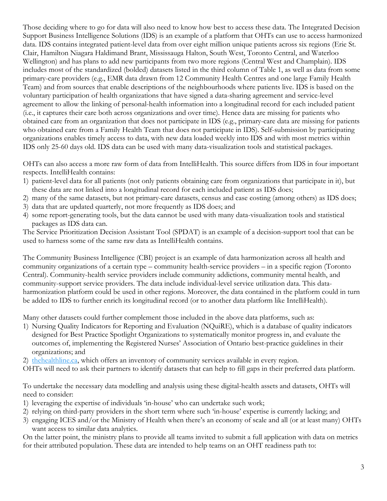Those deciding where to go for data will also need to know how best to access these data. The Integrated Decision Support Business Intelligence Solutions (IDS) is an example of a platform that OHTs can use to access harmonized data. IDS contains integrated patient-level data from over eight million unique patients across six regions (Erie St. Clair, Hamilton Niagara Haldimand Brant, Mississauga Halton, South West, Toronto Central, and Waterloo Wellington) and has plans to add new participants from two more regions (Central West and Champlain). IDS includes most of the standardized (bolded) datasets listed in the third column of Table 1, as well as data from some primary-care providers (e.g., EMR data drawn from 12 Community Health Centres and one large Family Health Team) and from sources that enable descriptions of the neighbourhoods where patients live. IDS is based on the voluntary participation of health organizations that have signed a data-sharing agreement and service-level agreement to allow the linking of personal-health information into a longitudinal record for each included patient (i.e., it captures their care both across organizations and over time). Hence data are missing for patients who obtained care from an organization that does not participate in IDS (e.g., primary-care data are missing for patients who obtained care from a Family Health Team that does not participate in IDS). Self-submission by participating organizations enables timely access to data, with new data loaded weekly into IDS and with most metrics within IDS only 25-60 days old. IDS data can be used with many data-visualization tools and statistical packages.

OHTs can also access a more raw form of data from IntelliHealth. This source differs from IDS in four important respects. IntelliHealth contains:

- 1) patient-level data for all patients (not only patients obtaining care from organizations that participate in it), but these data are not linked into a longitudinal record for each included patient as IDS does;
- 2) many of the same datasets, but not primary-care datasets, census and case costing (among others) as IDS does;
- 3) data that are updated quarterly, not more frequently as IDS does; and
- 4) some report-generating tools, but the data cannot be used with many data-visualization tools and statistical packages as IDS data can.

The Service Prioritization Decision Assistant Tool (SPDAT) is an example of a decision-support tool that can be used to harness some of the same raw data as IntelliHealth contains.

The Community Business Intelligence (CBI) project is an example of data harmonization across all health and community organizations of a certain type – community health-service providers – in a specific region (Toronto Central). Community-health service providers include community addictions, community mental health, and community-support service providers. The data include individual-level service utilization data. This dataharmonization platform could be used in other regions. Moreover, the data contained in the platform could in turn be added to IDS to further enrich its longitudinal record (or to another data platform like IntelliHealth).

Many other datasets could further complement those included in the above data platforms, such as:

- 1) Nursing Quality Indicators for Reporting and Evaluation (NQuiRE), which is a database of quality indicators designed for Best Practice Spotlight Organizations to systematically monitor progress in, and evaluate the outcomes of, implementing the Registered Nurses' Association of Ontario best-practice guidelines in their organizations; and
- 2) [thehealthline.ca, w](https://www.thehealthline.ca/)hich offers an inventory of community services available in every region.
- OHTs will need to ask their partners to identify datasets that can help to fill gaps in their preferred data platform.

To undertake the necessary data modelling and analysis using these digital-health assets and datasets, OHTs will need to consider:

- 1) leveraging the expertise of individuals 'in-house' who can undertake such work;
- 2) relying on third-party providers in the short term where such 'in-house' expertise is currently lacking; and
- 3) engaging ICES and/or the Ministry of Health when there's an economy of scale and all (or at least many) OHTs want access to similar data analytics.

On the latter point, the ministry plans to provide all teams invited to submit a full application with data on metrics for their attributed population. These data are intended to help teams on an OHT readiness path to: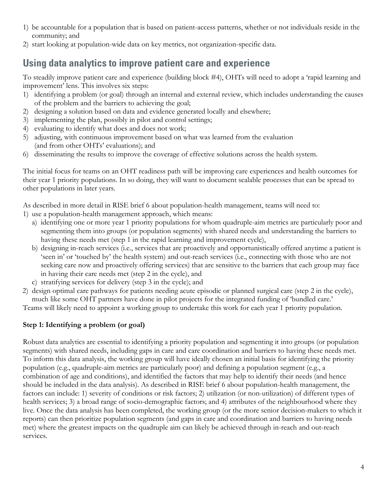- 1) be accountable for a population that is based on patient-access patterns, whether or not individuals reside in the community; and
- 2) start looking at population-wide data on key metrics, not organization-specific data.

## **Using data analytics to improve patient care and experience**

To steadily improve patient care and experience (building block #4), OHTs will need to adopt a 'rapid learning and improvement' lens. This involves six steps:

- 1) identifying a problem (or goal) through an internal and external review, which includes understanding the causes of the problem and the barriers to achieving the goal;
- 2) designing a solution based on data and evidence generated locally and elsewhere;
- 3) implementing the plan, possibly in pilot and control settings;
- 4) evaluating to identify what does and does not work;
- 5) adjusting, with continuous improvement based on what was learned from the evaluation (and from other OHTs' evaluations); and
- 6) disseminating the results to improve the coverage of effective solutions across the health system.

The initial focus for teams on an OHT readiness path will be improving care experiences and health outcomes for their year 1 priority populations. In so doing, they will want to document scalable processes that can be spread to other populations in later years.

As described in more detail in RISE brief 6 about population-health management, teams will need to:

- 1) use a population-health management approach, which means:
	- a) identifying one or more year 1 priority populations for whom quadruple-aim metrics are particularly poor and segmenting them into groups (or population segments) with shared needs and understanding the barriers to having these needs met (step 1 in the rapid learning and improvement cycle),
	- b) designing in-reach services (i.e., services that are proactively and opportunistically offered anytime a patient is 'seen in' or 'touched by' the health system) and out-reach services (i.e., connecting with those who are not seeking care now and proactively offering services) that are sensitive to the barriers that each group may face in having their care needs met (step 2 in the cycle), and
	- c) stratifying services for delivery (step 3 in the cycle); and
- 2) design optimal care pathways for patients needing acute episodic or planned surgical care (step 2 in the cycle), much like some OHT partners have done in pilot projects for the integrated funding of 'bundled care.'

Teams will likely need to appoint a working group to undertake this work for each year 1 priority population.

#### **Step 1: Identifying a problem (or goal)**

Robust data analytics are essential to identifying a priority population and segmenting it into groups (or population segments) with shared needs, including gaps in care and care coordination and barriers to having these needs met. To inform this data analysis, the working group will have ideally chosen an initial basis for identifying the priority population (e.g., quadruple-aim metrics are particularly poor) and defining a population segment (e.g., a combination of age and conditions), and identified the factors that may help to identify their needs (and hence should be included in the data analysis). As described in RISE brief 6 about population-health management, the factors can include: 1) severity of conditions or risk factors; 2) utilization (or non-utilization) of different types of health services; 3) a broad range of socio-demographic factors; and 4) attributes of the neighbourhood where they live. Once the data analysis has been completed, the working group (or the more senior decision-makers to which it reports) can then prioritize population segments (and gaps in care and coordination and barriers to having needs met) where the greatest impacts on the quadruple aim can likely be achieved through in-reach and out-reach services.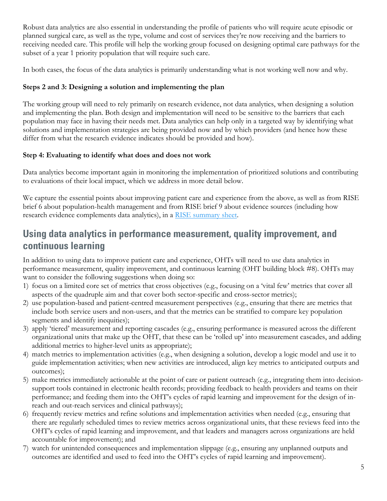Robust data analytics are also essential in understanding the profile of patients who will require acute episodic or planned surgical care, as well as the type, volume and cost of services they're now receiving and the barriers to receiving needed care. This profile will help the working group focused on designing optimal care pathways for the subset of a year 1 priority population that will require such care.

In both cases, the focus of the data analytics is primarily understanding what is not working well now and why.

#### **Steps 2 and 3: Designing a solution and implementing the plan**

The working group will need to rely primarily on research evidence, not data analytics, when designing a solution and implementing the plan. Both design and implementation will need to be sensitive to the barriers that each population may face in having their needs met. Data analytics can help only in a targeted way by identifying what solutions and implementation strategies are being provided now and by which providers (and hence how these differ from what the research evidence indicates should be provided and how).

#### **Step 4: Evaluating to identify what does and does not work**

Data analytics become important again in monitoring the implementation of prioritized solutions and contributing to evaluations of their local impact, which we address in more detail below.

We capture the essential points about improving patient care and experience from the above, as well as from RISE brief 6 about population-health management and from RISE brief 9 about evidence sources (including how research evidence complements data analytics), in a [RISE summary sheet.](https://www.mcmasterforum.org/docs/default-source/rise-docs/rise-briefs/rb6-8-9_summary-sheet.pdf?sfvrsn=2)

### **Using data analytics in performance measurement, quality improvement, and continuous learning**

In addition to using data to improve patient care and experience, OHTs will need to use data analytics in performance measurement, quality improvement, and continuous learning (OHT building block #8). OHTs may want to consider the following suggestions when doing so:

- 1) focus on a limited core set of metrics that cross objectives (e.g., focusing on a 'vital few' metrics that cover all aspects of the quadruple aim and that cover both sector-specific and cross-sector metrics);
- 2) use population-based and patient-centred measurement perspectives (e.g., ensuring that there are metrics that include both service users and non-users, and that the metrics can be stratified to compare key population segments and identify inequities);
- 3) apply 'tiered' measurement and reporting cascades (e.g., ensuring performance is measured across the different organizational units that make up the OHT, that these can be 'rolled up' into measurement cascades, and adding additional metrics to higher-level units as appropriate);
- 4) match metrics to implementation activities (e.g., when designing a solution, develop a logic model and use it to guide implementation activities; when new activities are introduced, align key metrics to anticipated outputs and outcomes);
- 5) make metrics immediately actionable at the point of care or patient outreach (e.g., integrating them into decisionsupport tools contained in electronic health records; providing feedback to health providers and teams on their performance; and feeding them into the OHT's cycles of rapid learning and improvement for the design of inreach and out-reach services and clinical pathways);
- 6) frequently review metrics and refine solutions and implementation activities when needed (e.g., ensuring that there are regularly scheduled times to review metrics across organizational units, that these reviews feed into the OHT's cycles of rapid learning and improvement, and that leaders and managers across organizations are held accountable for improvement); and
- 7) watch for unintended consequences and implementation slippage (e.g., ensuring any unplanned outputs and outcomes are identified and used to feed into the OHT's cycles of rapid learning and improvement).